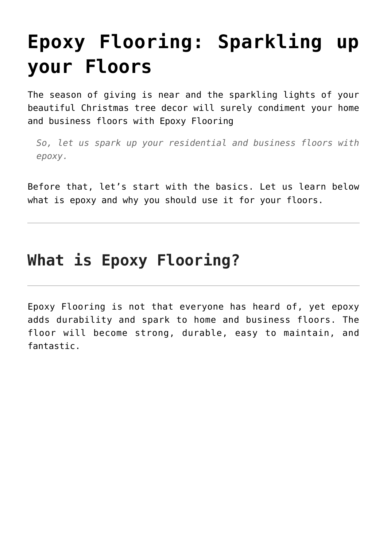## **[Epoxy Flooring: Sparkling up](https://epoxybrisbane.com.au/epoxy-flooring-sparkling-up-your-home-and-business-floors/) [your Floors](https://epoxybrisbane.com.au/epoxy-flooring-sparkling-up-your-home-and-business-floors/)**

The season of giving is near and the sparkling lights of your beautiful Christmas tree decor will surely condiment your home and business floors with [Epoxy Flooring](https://epoxybrisbane.com.au/)

*So, let us spark up your residential and business floors with epoxy.*

Before that, let's start with the basics. Let us learn below what is epoxy and why you should use it for your floors.

## **What is Epoxy Flooring?**

Epoxy Flooring is not that everyone has heard of, yet epoxy adds durability and spark to home and business floors. The floor will become strong, durable, easy to maintain, and fantastic.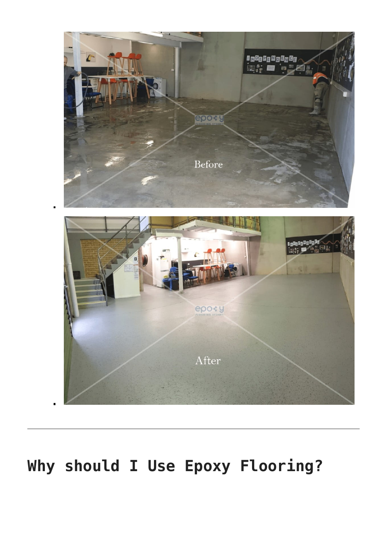

## **Why should I Use Epoxy Flooring?**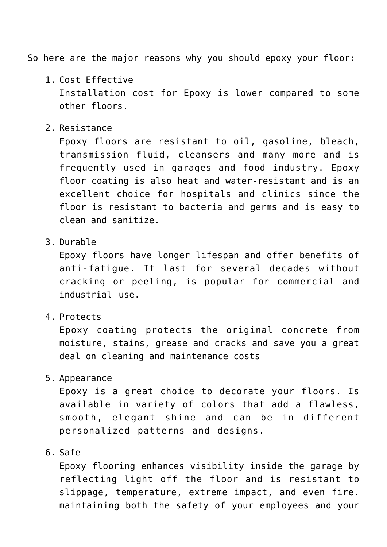So here are the major reasons why you should epoxy your floor:

- 1. Cost Effective Installation cost for Epoxy is lower compared to some other floors.
- 2. Resistance

Epoxy floors are resistant to oil, gasoline, bleach, transmission fluid, cleansers and many more and is frequently used in garages and food industry. Epoxy floor coating is also heat and water-resistant and is an excellent choice for hospitals and clinics since the floor is resistant to bacteria and germs and is easy to clean and sanitize.

3. Durable

Epoxy floors have longer lifespan and offer benefits of anti-fatigue. It last for several decades without cracking or peeling, is popular for commercial and industrial use.

4. Protects

Epoxy coating protects the original concrete from moisture, stains, grease and cracks and save you a great deal on cleaning and maintenance costs

5. Appearance

Epoxy is a great choice to decorate your floors. Is available in variety of colors that add a flawless, smooth, elegant shine and can be in different personalized patterns and designs.

6. Safe

Epoxy flooring enhances visibility inside the garage by reflecting light off the floor and is resistant to slippage, temperature, extreme impact, and even fire. maintaining both the safety of your employees and your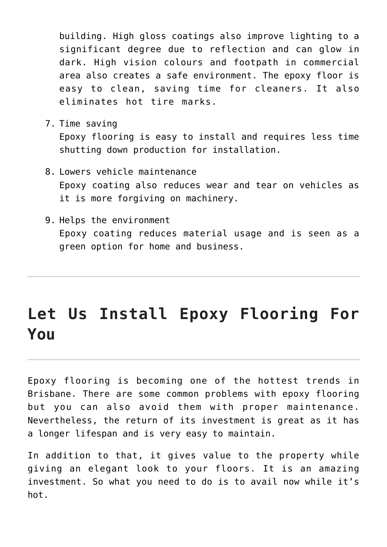building. High gloss coatings also improve lighting to a significant degree due to reflection and can glow in dark. High vision colours and footpath in commercial area also creates a safe environment. The epoxy floor is easy to clean, saving time for cleaners. It also eliminates hot tire marks.

7. Time saving

Epoxy flooring is easy to install and requires less time shutting down production for installation.

- 8. Lowers vehicle maintenance Epoxy coating also reduces wear and tear on vehicles as it is more forgiving on machinery.
- 9. Helps the environment Epoxy coating reduces material usage and is seen as a green option for home and business.

## **Let Us Install Epoxy Flooring For You**

Epoxy flooring is becoming one of the hottest trends in Brisbane. There are some common problems with epoxy flooring but you can also [avoid them with proper maintenance.](https://epoxybrisbane.com.au/common-epoxy-flooring-problems/) Nevertheless, the return of its investment is great as it has a longer lifespan and is very easy to maintain.

In addition to that, it gives value to the property while giving an elegant look to your floors. It is an amazing investment. So what you need to do is to avail now while it's hot.